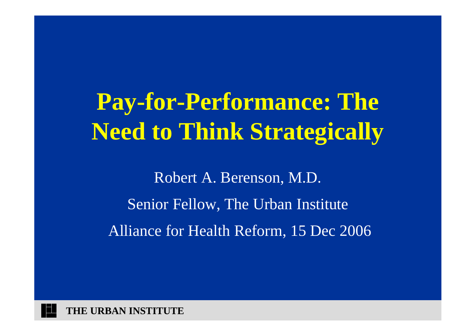### **Pay-for-Performance: The Need to Think Strategically**

Robert A. Berenson, M.D. Senior Fellow, The Urban Institute Alliance for Health Reform, 15 Dec 2006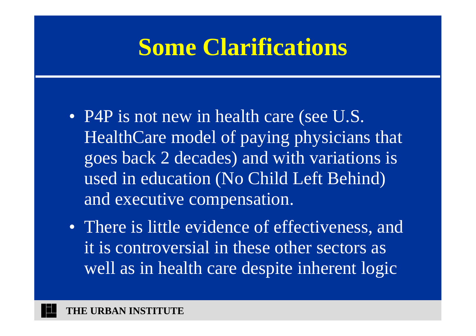### **Some Clarifications**

- P4P is not new in health care (see U.S. HealthCare model of paying physicians that goes back 2 decades) and with variations is used in education (No Child Left Behind) and executive compensation.
- There is little evidence of effectiveness, and it is controversial in these other sectors as well as in health care despite inherent logic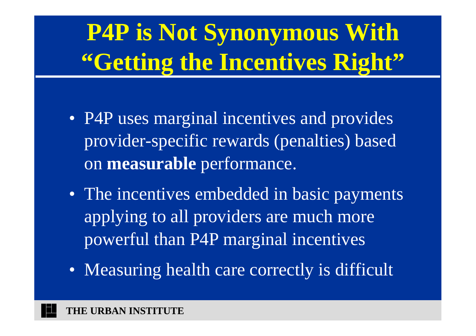# **P4P is Not Synonymous With "Getting the Incentives Right"**

- P4P uses marginal incentives and provides provider-specific rewards (penalties) based on **measurable** performance.
- The incentives embedded in basic payments applying to all providers are much more powerful than P4P marginal incentives
- Measuring health care correctly is difficult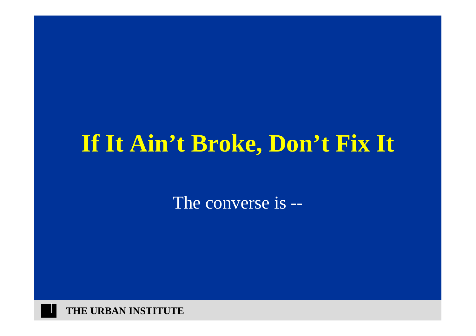#### **If It Ain't Broke, Don't Fix It**

The converse is --

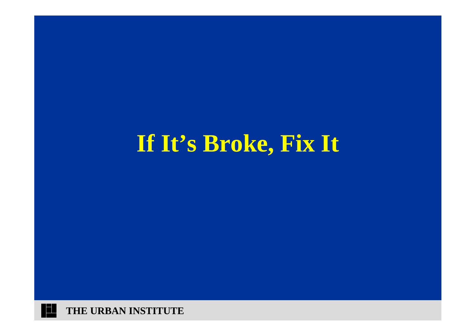### **If It's Broke, Fix It**

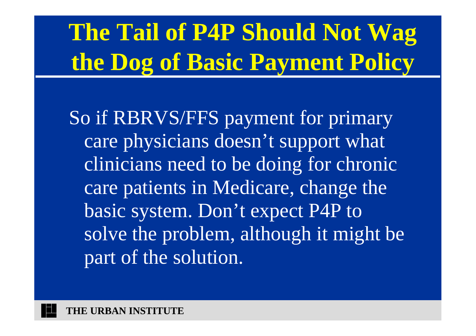# **The Tail of P4P Should Not Wag the Dog of Basic Payment Policy**

So if RBRVS/FFS payment for primary care physicians doesn't support what clinicians need to be doing for chronic care patients in Medicare, change the basic system. Don't expect P4P to solve the problem, although it might be part of the solution.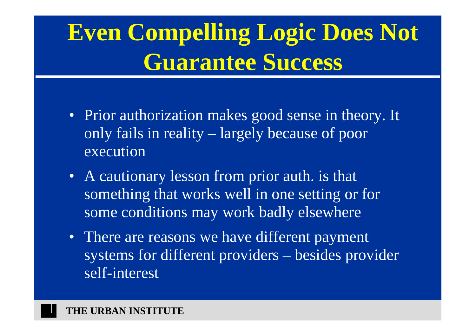### **Even Compelling Logic Does Not Guarantee Success**

- Prior authorization makes good sense in theory. It only fails in reality – largely because of poor execution
- A cautionary lesson from prior auth. is that something that works well in one setting or for some conditions may work badly elsewhere
- There are reasons we have different payment systems for different providers – besides provider self-interest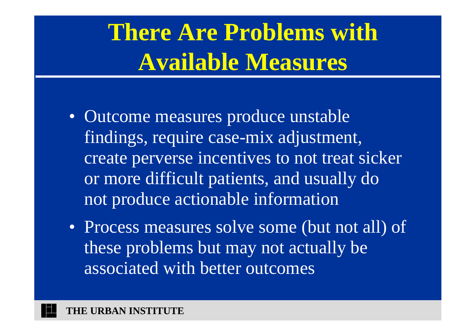### **There Are Problems with Available Measures**

- Outcome measures produce unstable findings, require case-mix adjustment, create perverse incentives to not treat sicker or more difficult patients, and usually do not produce actionable information
- Process measures solve some (but not all) of these problems but may not actually be associated with better outcomes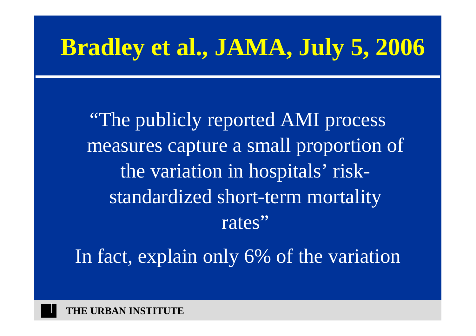### **Bradley et al., JAMA, July 5, 2006**

"The publicly reported AMI process measures capture a small proportion of the variation in hospitals' riskstandardized short-term mortality rates"

In fact, explain only 6% of the variation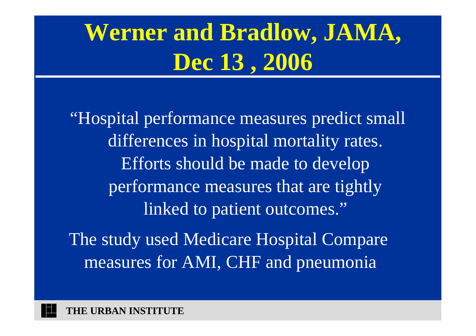## **Werner and Bradlow, JAMA, Dec 13 , 2006**

"Hospital performance measures predict small differences in hospital mortality rates. Efforts should be made to develop performance measures that are tightly linked to patient outcomes." The study used Medicare Hospital Compare measures for AMI, CHF and pneumonia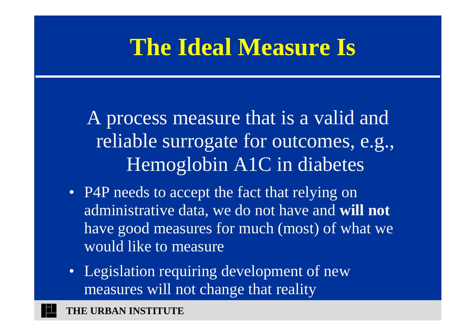#### **The Ideal Measure Is**

A process measure that is a valid and reliable surrogate for outcomes, e.g., Hemoglobin A1C in diabetes

- P4P needs to accept the fact that relying on administrative data, we do not have and **will not** have good measures for much (most) of what we would like to measure
- Legislation requiring development of new measures will not change that reality

**THE URBAN INSTITUTE**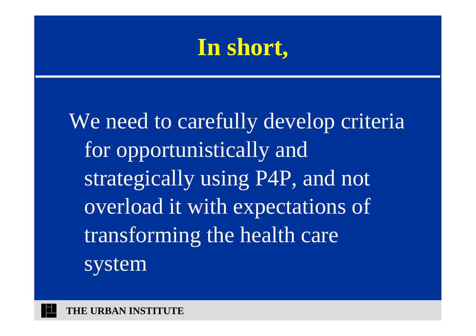#### **In short,**

We need to carefully develop criteria for opportunistically and strategically using P4P, and not overload it with expectations of transforming the health care system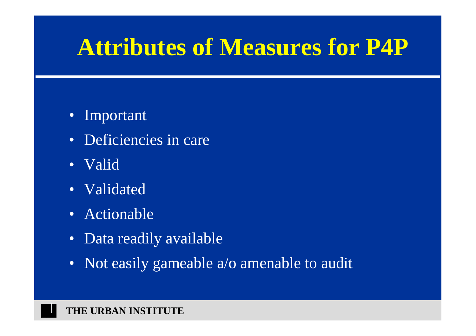### **Attributes of Measures for P4P**

- Important
- Deficiencies in care
- Valid
- Validated
- Actionable
- Data readily available
- Not easily gameable a/o amenable to audit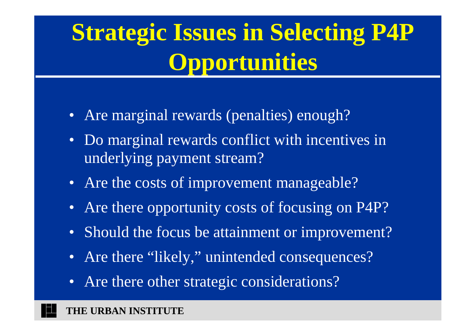# **Strategic Issues in Selecting P4P Opportunities**

- Are marginal rewards (penalties) enough?
- Do marginal rewards conflict with incentives in underlying payment stream?
- Are the costs of improvement manageable?
- Are there opportunity costs of focusing on P4P?
- Should the focus be attainment or improvement?
- Are there "likely," unintended consequences?
- Are there other strategic considerations?